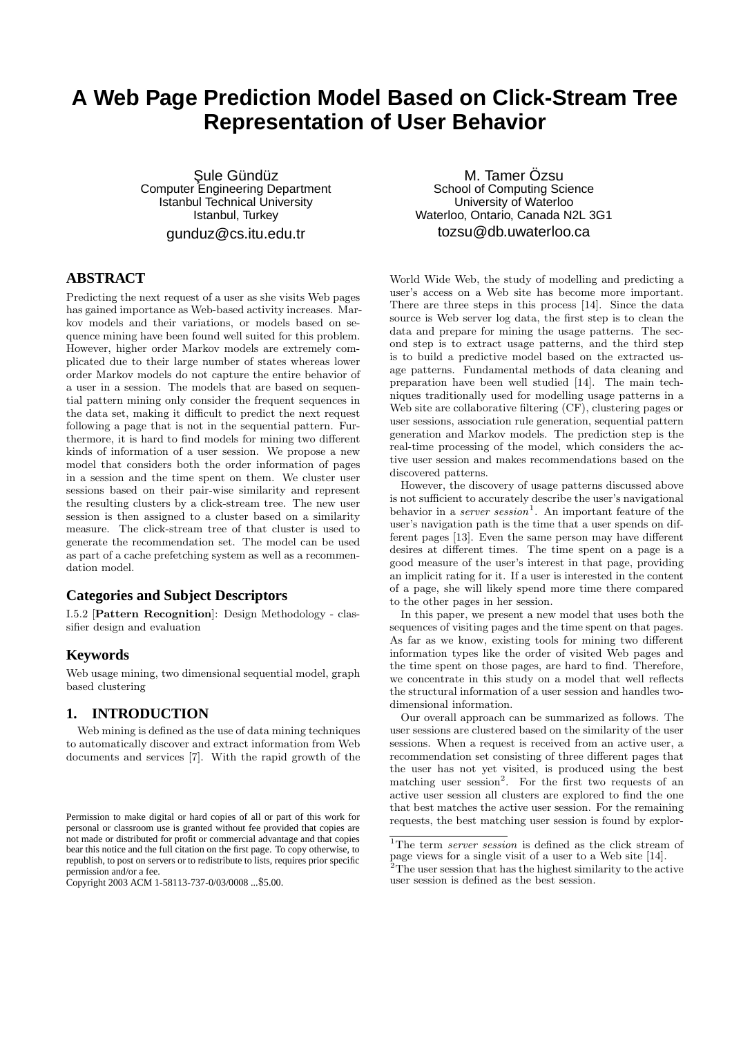# **A Web Page Prediction Model Based on Click-Stream Tree Representation of User Behavior**

Sule Gündüz Computer Engineering Department Istanbul Technical University Istanbul, Turkey

gunduz@cs.itu.edu.tr

# **ABSTRACT**

Predicting the next request of a user as she visits Web pages has gained importance as Web-based activity increases. Markov models and their variations, or models based on sequence mining have been found well suited for this problem. However, higher order Markov models are extremely complicated due to their large number of states whereas lower order Markov models do not capture the entire behavior of a user in a session. The models that are based on sequential pattern mining only consider the frequent sequences in the data set, making it difficult to predict the next request following a page that is not in the sequential pattern. Furthermore, it is hard to find models for mining two different kinds of information of a user session. We propose a new model that considers both the order information of pages in a session and the time spent on them. We cluster user sessions based on their pair-wise similarity and represent the resulting clusters by a click-stream tree. The new user session is then assigned to a cluster based on a similarity measure. The click-stream tree of that cluster is used to generate the recommendation set. The model can be used as part of a cache prefetching system as well as a recommendation model.

# **Categories and Subject Descriptors**

I.5.2 [Pattern Recognition]: Design Methodology - classifier design and evaluation

### **Keywords**

Web usage mining, two dimensional sequential model, graph based clustering

## **1. INTRODUCTION**

Web mining is defined as the use of data mining techniques to automatically discover and extract information from Web documents and services [7]. With the rapid growth of the

M. Tamer Özsu School of Computing Science University of Waterloo Waterloo, Ontario, Canada N2L 3G1 tozsu@db.uwaterloo.ca

World Wide Web, the study of modelling and predicting a user's access on a Web site has become more important. There are three steps in this process [14]. Since the data source is Web server log data, the first step is to clean the data and prepare for mining the usage patterns. The second step is to extract usage patterns, and the third step is to build a predictive model based on the extracted usage patterns. Fundamental methods of data cleaning and preparation have been well studied [14]. The main techniques traditionally used for modelling usage patterns in a Web site are collaborative filtering (CF), clustering pages or user sessions, association rule generation, sequential pattern generation and Markov models. The prediction step is the real-time processing of the model, which considers the active user session and makes recommendations based on the discovered patterns.

However, the discovery of usage patterns discussed above is not sufficient to accurately describe the user's navigational behavior in a *server session*<sup>1</sup>. An important feature of the user's navigation path is the time that a user spends on different pages [13]. Even the same person may have different desires at different times. The time spent on a page is a good measure of the user's interest in that page, providing an implicit rating for it. If a user is interested in the content of a page, she will likely spend more time there compared to the other pages in her session.

In this paper, we present a new model that uses both the sequences of visiting pages and the time spent on that pages. As far as we know, existing tools for mining two different information types like the order of visited Web pages and the time spent on those pages, are hard to find. Therefore, we concentrate in this study on a model that well reflects the structural information of a user session and handles twodimensional information.

Our overall approach can be summarized as follows. The user sessions are clustered based on the similarity of the user sessions. When a request is received from an active user, a recommendation set consisting of three different pages that the user has not yet visited, is produced using the best matching user session<sup>2</sup>. For the first two requests of an active user session all clusters are explored to find the one that best matches the active user session. For the remaining requests, the best matching user session is found by explor-

Permission to make digital or hard copies of all or part of this work for personal or classroom use is granted without fee provided that copies are not made or distributed for profit or commercial advantage and that copies bear this notice and the full citation on the first page. To copy otherwise, to republish, to post on servers or to redistribute to lists, requires prior specific permission and/or a fee.

Copyright 2003 ACM 1-58113-737-0/03/0008 ...\$5.00.

<sup>&</sup>lt;sup>1</sup>The term *server session* is defined as the click stream of

page views for a single visit of a user to a Web site [14]. <sup>2</sup>The user session that has the highest similarity to the active user session is defined as the best session.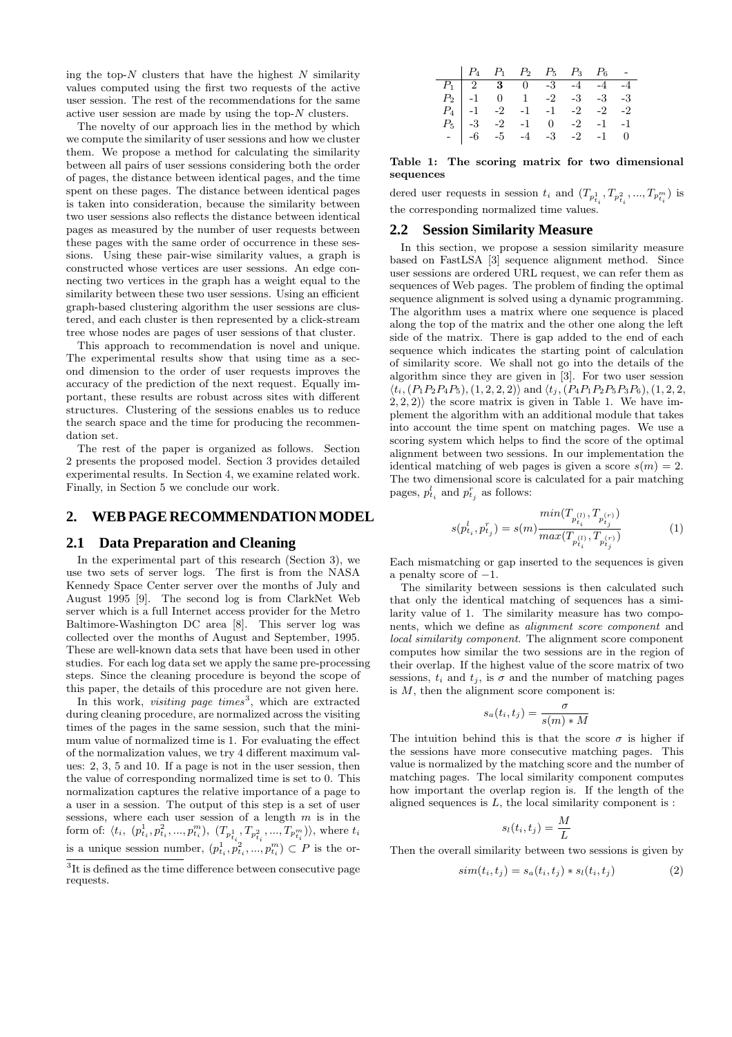ing the top- $N$  clusters that have the highest  $N$  similarity values computed using the first two requests of the active user session. The rest of the recommendations for the same active user session are made by using the top- $N$  clusters.

The novelty of our approach lies in the method by which we compute the similarity of user sessions and how we cluster them. We propose a method for calculating the similarity between all pairs of user sessions considering both the order of pages, the distance between identical pages, and the time spent on these pages. The distance between identical pages is taken into consideration, because the similarity between two user sessions also reflects the distance between identical pages as measured by the number of user requests between these pages with the same order of occurrence in these sessions. Using these pair-wise similarity values, a graph is constructed whose vertices are user sessions. An edge connecting two vertices in the graph has a weight equal to the similarity between these two user sessions. Using an efficient graph-based clustering algorithm the user sessions are clustered, and each cluster is then represented by a click-stream tree whose nodes are pages of user sessions of that cluster.

This approach to recommendation is novel and unique. The experimental results show that using time as a second dimension to the order of user requests improves the accuracy of the prediction of the next request. Equally important, these results are robust across sites with different structures. Clustering of the sessions enables us to reduce the search space and the time for producing the recommendation set.

The rest of the paper is organized as follows. Section 2 presents the proposed model. Section 3 provides detailed experimental results. In Section 4, we examine related work. Finally, in Section 5 we conclude our work.

## **2. WEB PAGE RECOMMENDATIONMODEL**

#### **2.1 Data Preparation and Cleaning**

In the experimental part of this research (Section 3), we use two sets of server logs. The first is from the NASA Kennedy Space Center server over the months of July and August 1995 [9]. The second log is from ClarkNet Web server which is a full Internet access provider for the Metro Baltimore-Washington DC area [8]. This server log was collected over the months of August and September, 1995. These are well-known data sets that have been used in other studies. For each log data set we apply the same pre-processing steps. Since the cleaning procedure is beyond the scope of this paper, the details of this procedure are not given here.

In this work, *visiting page*  $times^3$ , which are extracted during cleaning procedure, are normalized across the visiting times of the pages in the same session, such that the minimum value of normalized time is 1. For evaluating the effect of the normalization values, we try 4 different maximum values: 2, 3, 5 and 10. If a page is not in the user session, then the value of corresponding normalized time is set to 0. This normalization captures the relative importance of a page to a user in a session. The output of this step is a set of user sessions, where each user session of a length  $m$  is in the form of:  $\langle t_i, (p_{t_i}^1, p_{t_i}^2, ..., p_{t_i}^m), (T_{p_{t_i}^1}, T_{p_{t_i}^2}, ..., T_{p_{t_i}^m}) \rangle$ , where  $t_i$ is a unique session number,  $(p_{t_i}^1, p_{t_i}^2, ..., p_{t_i}^m) \subset P$  is the or-

|  | $P_4$ $P_1$ $P_2$ $P_5$ $P_3$ $P_6$ - |  |                                                                                                                                                                                                                                                    |  |
|--|---------------------------------------|--|----------------------------------------------------------------------------------------------------------------------------------------------------------------------------------------------------------------------------------------------------|--|
|  |                                       |  |                                                                                                                                                                                                                                                    |  |
|  |                                       |  |                                                                                                                                                                                                                                                    |  |
|  |                                       |  |                                                                                                                                                                                                                                                    |  |
|  |                                       |  |                                                                                                                                                                                                                                                    |  |
|  |                                       |  | $\begin{array}{cccccccccccc} P_1 & 2 & 3 & 0 & -3 & -4 & -4 & -4 \\ P_2 & -1 & 0 & 1 & -2 & -3 & -3 & -3 \\ P_4 & -1 & -2 & -1 & -1 & -2 & -2 & -2 \\ P_5 & -3 & -2 & -1 & 0 & -2 & -1 & -1 \\ - & -6 & -5 & -4 & -3 & -2 & -1 & 0 \\ \end{array}$ |  |

### Table 1: The scoring matrix for two dimensional sequences

dered user requests in session  $t_i$  and  $(T_{p_{t_i}^1}, T_{p_{t_i}^2}, ..., T_{p_{t_i}^m})$  is the corresponding normalized time values.

#### **2.2 Session Similarity Measure**

In this section, we propose a session similarity measure based on FastLSA [3] sequence alignment method. Since user sessions are ordered URL request, we can refer them as sequences of Web pages. The problem of finding the optimal sequence alignment is solved using a dynamic programming. The algorithm uses a matrix where one sequence is placed along the top of the matrix and the other one along the left side of the matrix. There is gap added to the end of each sequence which indicates the starting point of calculation of similarity score. We shall not go into the details of the algorithm since they are given in [3]. For two user session  $\langle t_i,(P_1P_2P_4P_5),(1,2,2,2)\rangle$  and  $\langle t_j,(P_4P_1P_2P_5P_3P_6),(1,2,2,$  $(2, 2, 2)$  the score matrix is given in Table 1. We have implement the algorithm with an additional module that takes into account the time spent on matching pages. We use a scoring system which helps to find the score of the optimal alignment between two sessions. In our implementation the identical matching of web pages is given a score  $s(m) = 2$ . The two dimensional score is calculated for a pair matching pages,  $p_{t_i}^l$  and  $p_{t_j}^r$  as follows:

$$
s(p_{t_i}^l, p_{t_j}^r) = s(m) \frac{\min(T_{p_{t_i}^{(l)}}, T_{p_{t_j}^{(r)}})}{\max(T_{p_{t_i}^{(l)}}, T_{p_{t_j}^{(r)}})}
$$
(1)

Each mismatching or gap inserted to the sequences is given a penalty score of  $-1$ .

The similarity between sessions is then calculated such that only the identical matching of sequences has a similarity value of 1. The similarity measure has two components, which we define as alignment score component and local similarity component. The alignment score component computes how similar the two sessions are in the region of their overlap. If the highest value of the score matrix of two sessions,  $t_i$  and  $t_j$ , is  $\sigma$  and the number of matching pages is  $M$ , then the alignment score component is:

$$
s_a(t_i, t_j) = \frac{\sigma}{s(m) * M}
$$

The intuition behind this is that the score  $\sigma$  is higher if the sessions have more consecutive matching pages. This value is normalized by the matching score and the number of matching pages. The local similarity component computes how important the overlap region is. If the length of the aligned sequences is  $L$ , the local similarity component is :

$$
s_l(t_i, t_j) = \frac{M}{L}
$$

Then the overall similarity between two sessions is given by

$$
sim(ti, tj) = sa(ti, tj) * sl(ti, tj)
$$
\n(2)

<sup>&</sup>lt;sup>3</sup>It is defined as the time difference between consecutive page requests.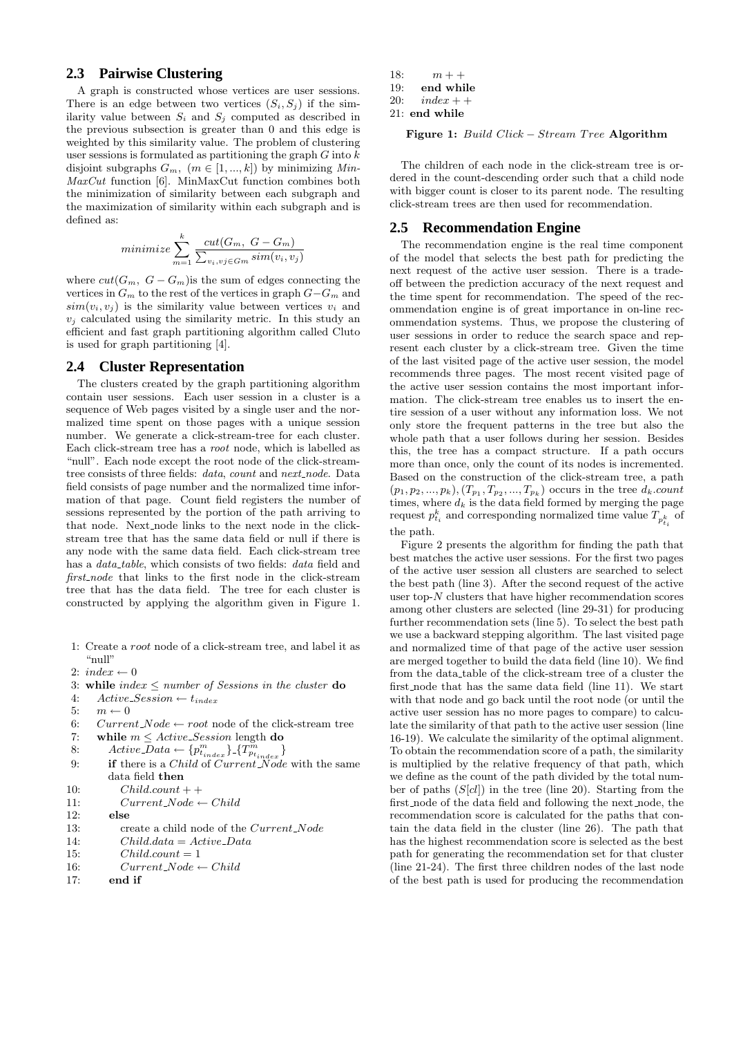## **2.3 Pairwise Clustering**

A graph is constructed whose vertices are user sessions. There is an edge between two vertices  $(S_i, S_j)$  if the similarity value between  $S_i$  and  $S_j$  computed as described in the previous subsection is greater than 0 and this edge is weighted by this similarity value. The problem of clustering user sessions is formulated as partitioning the graph  $G$  into  $k$ disjoint subgraphs  $G_m$ ,  $(m \in [1, ..., k])$  by minimizing Min-MaxCut function [6]. MinMaxCut function combines both the minimization of similarity between each subgraph and the maximization of similarity within each subgraph and is defined as:

$$
minimize \sum_{m=1}^{k} \frac{cut(G_m, G - G_m)}{\sum_{v_i, v_j \in G_m} sim(v_i, v_j)}
$$

where  $cut(G_m, G - G_m)$  is the sum of edges connecting the vertices in  $G_m$  to the rest of the vertices in graph  $G-G_m$  and  $sim(v_i, v_j)$  is the similarity value between vertices  $v_i$  and  $v_i$  calculated using the similarity metric. In this study an efficient and fast graph partitioning algorithm called Cluto is used for graph partitioning [4].

### **2.4 Cluster Representation**

The clusters created by the graph partitioning algorithm contain user sessions. Each user session in a cluster is a sequence of Web pages visited by a single user and the normalized time spent on those pages with a unique session number. We generate a click-stream-tree for each cluster. Each click-stream tree has a root node, which is labelled as "null". Each node except the root node of the click-streamtree consists of three fields: *data, count* and *next-node*. Data field consists of page number and the normalized time information of that page. Count field registers the number of sessions represented by the portion of the path arriving to that node. Next node links to the next node in the clickstream tree that has the same data field or null if there is any node with the same data field. Each click-stream tree has a data table, which consists of two fields: data field and first node that links to the first node in the click-stream tree that has the data field. The tree for each cluster is constructed by applying the algorithm given in Figure 1.

- 1: Create a root node of a click-stream tree, and label it as "null"
- 2:  $index \leftarrow 0$
- 3: while  $index \leq number of Sessions in the cluster$  do
- 4:  $Active\_Session \leftarrow t_{index}$
- 5:  $m \leftarrow 0$
- 6: Current Node  $\leftarrow$  root node of the click-stream tree

```
7: while m \leq Active\_Session length do
```

```
8: Active\_Data \leftarrow \{p_{t_{index}}^m\} \cdot \{T_{p_{t_{index}}}^m\}
```
- 9: **if** there is a *Child* of *Current* Node with the same data field then
- 10:  $Child.count + +$
- 11:  $Current\_Node \leftarrow Child$ <br>12: else
- else
- 13: create a child node of the Current Node
- 14:  $Child.data = Active\_Data$
- 15:  $Child.count = 1$
- 16:  $Current\_Node \leftarrow Child$
- 17: end if

18:  $m + +$ <br>19: end whi 19: **end while**<br>20:  $index + +$  $index + +$ 

21: end while

Figure 1: Build Click − Stream Tree Algorithm

The children of each node in the click-stream tree is ordered in the count-descending order such that a child node with bigger count is closer to its parent node. The resulting click-stream trees are then used for recommendation.

## **2.5 Recommendation Engine**

The recommendation engine is the real time component of the model that selects the best path for predicting the next request of the active user session. There is a tradeoff between the prediction accuracy of the next request and the time spent for recommendation. The speed of the recommendation engine is of great importance in on-line recommendation systems. Thus, we propose the clustering of user sessions in order to reduce the search space and represent each cluster by a click-stream tree. Given the time of the last visited page of the active user session, the model recommends three pages. The most recent visited page of the active user session contains the most important information. The click-stream tree enables us to insert the entire session of a user without any information loss. We not only store the frequent patterns in the tree but also the whole path that a user follows during her session. Besides this, the tree has a compact structure. If a path occurs more than once, only the count of its nodes is incremented. Based on the construction of the click-stream tree, a path  $(p_1, p_2, ..., p_k), (T_{p_1}, T_{p_2}, ..., T_{p_k})$  occurs in the tree  $d_k$  count times, where  $d_k$  is the data field formed by merging the page request $p_{t_i}^k$  and corresponding normalized time value  $T_{p_{t_i}^k}$  of the path.

Figure 2 presents the algorithm for finding the path that best matches the active user sessions. For the first two pages of the active user session all clusters are searched to select the best path (line 3). After the second request of the active user top- $N$  clusters that have higher recommendation scores among other clusters are selected (line 29-31) for producing further recommendation sets (line 5). To select the best path we use a backward stepping algorithm. The last visited page and normalized time of that page of the active user session are merged together to build the data field (line 10). We find from the data table of the click-stream tree of a cluster the first node that has the same data field (line 11). We start with that node and go back until the root node (or until the active user session has no more pages to compare) to calculate the similarity of that path to the active user session (line 16-19). We calculate the similarity of the optimal alignment. To obtain the recommendation score of a path, the similarity is multiplied by the relative frequency of that path, which we define as the count of the path divided by the total number of paths  $(S[cl])$  in the tree (line 20). Starting from the first node of the data field and following the next node, the recommendation score is calculated for the paths that contain the data field in the cluster (line 26). The path that has the highest recommendation score is selected as the best path for generating the recommendation set for that cluster (line 21-24). The first three children nodes of the last node of the best path is used for producing the recommendation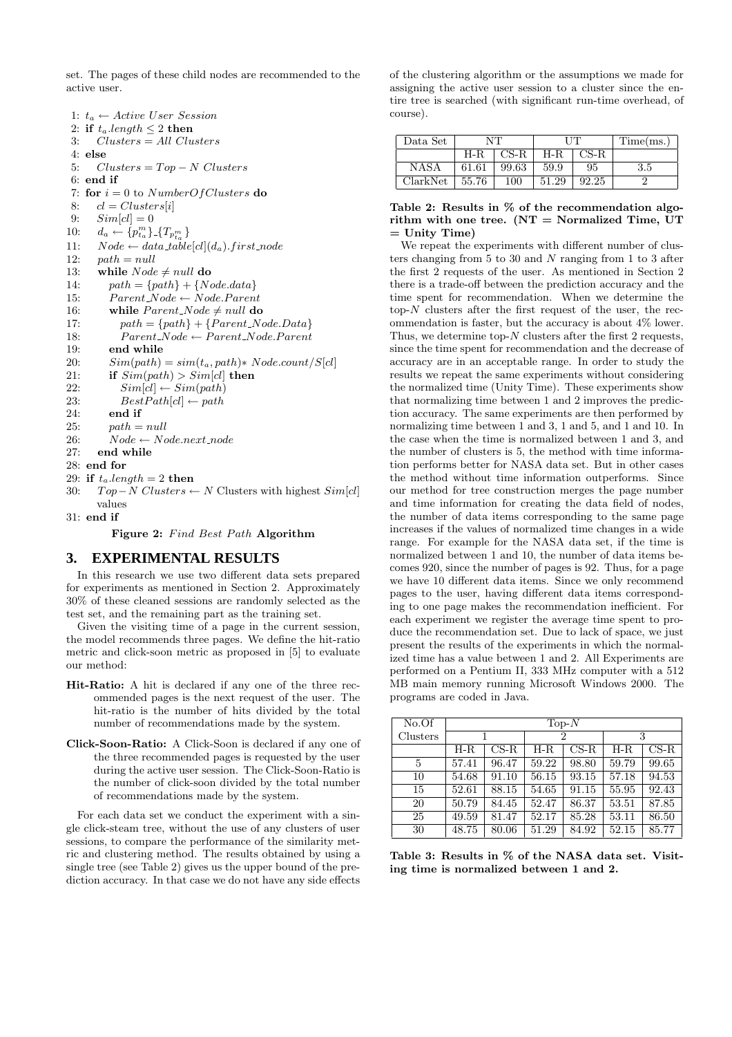set. The pages of these child nodes are recommended to the active user.

1:  $t_a \leftarrow Active \text{ User Session}$ 2: if  $t_a.length \leq 2$  then 3:  $Clusters = All Clusters$ 4: else 5:  $Clusters = Top - N Clusters$ 6: end if 7: for  $i = 0$  to NumberOfClusters do 8:  $cl = Clusters[i]$ 9:  $Sim[cl] = 0$ 10:  $d_a \leftarrow \{p_{t_a}^m\} \{T_{p_{t_a}^m}\}\$ 11:  $Node \leftarrow data\_table[cl](d_a).first\_node$ 12:  $path = null$ 13: while  $Node \neq null$  do 14:  $path = \{path\} + \{Node.data\}$ 15:  $Parent\_Node \leftarrow Node.parent$ 16: while  $Parent\_Node \neq null$  do 17:  $path = \{path\} + \{Parent\_Node.DataFrame\}$ 18:  $Parent\_Node \leftarrow Parent\_Node.Parent$ 19: end while 20:  $Sim(path) = sim(t_a, path) * Node.count/S[cl]$ 21: if  $Sim(path) > Sim[cl]$  then<br>22:  $Sim[cl] \leftarrow Sim(path)$  $Sim[cl] \leftarrow Sim(path)$ 23:  $BestPath[cl] \leftarrow path$ 24: end if 25:  $path = null$ <br>26:  $Node \leftarrow No$  $Node \leftarrow Node.next\_node$ 27: end while 28: end for 29: if  $t_a.length = 2$  then 30:  $Top-N Clusters \leftarrow N Clusters$  with highest  $Sim[cl]$ values 31: end if

Figure 2: Find Best Path Algorithm

## **3. EXPERIMENTAL RESULTS**

In this research we use two different data sets prepared for experiments as mentioned in Section 2. Approximately 30% of these cleaned sessions are randomly selected as the test set, and the remaining part as the training set.

Given the visiting time of a page in the current session, the model recommends three pages. We define the hit-ratio metric and click-soon metric as proposed in [5] to evaluate our method:

- Hit-Ratio: A hit is declared if any one of the three recommended pages is the next request of the user. The hit-ratio is the number of hits divided by the total number of recommendations made by the system.
- Click-Soon-Ratio: A Click-Soon is declared if any one of the three recommended pages is requested by the user during the active user session. The Click-Soon-Ratio is the number of click-soon divided by the total number of recommendations made by the system.

For each data set we conduct the experiment with a single click-steam tree, without the use of any clusters of user sessions, to compare the performance of the similarity metric and clustering method. The results obtained by using a single tree (see Table 2) gives us the upper bound of the prediction accuracy. In that case we do not have any side effects of the clustering algorithm or the assumptions we made for assigning the active user session to a cluster since the entire tree is searched (with significant run-time overhead, of course).

| Data Set | NT    |        |       |       | Time(ms.) |
|----------|-------|--------|-------|-------|-----------|
|          | H-R   | $CS-R$ | $H-R$ | CS-R  |           |
| NASA     | 61.61 | 99.63  | 59.9  | 95    | $3.5\,$   |
| ClarkNet | 55.76 | 100    | 51.29 | 92.25 |           |

#### Table 2: Results in % of the recommendation algorithm with one tree.  $(NT = Normalized Time, UT)$  $=$  Unity Time)

We repeat the experiments with different number of clusters changing from 5 to 30 and N ranging from 1 to 3 after the first 2 requests of the user. As mentioned in Section 2 there is a trade-off between the prediction accuracy and the time spent for recommendation. When we determine the top- $N$  clusters after the first request of the user, the recommendation is faster, but the accuracy is about 4% lower. Thus, we determine top- $N$  clusters after the first 2 requests, since the time spent for recommendation and the decrease of accuracy are in an acceptable range. In order to study the results we repeat the same experiments without considering the normalized time (Unity Time). These experiments show that normalizing time between 1 and 2 improves the prediction accuracy. The same experiments are then performed by normalizing time between 1 and 3, 1 and 5, and 1 and 10. In the case when the time is normalized between 1 and 3, and the number of clusters is 5, the method with time information performs better for NASA data set. But in other cases the method without time information outperforms. Since our method for tree construction merges the page number and time information for creating the data field of nodes, the number of data items corresponding to the same page increases if the values of normalized time changes in a wide range. For example for the NASA data set, if the time is normalized between 1 and 10, the number of data items becomes 920, since the number of pages is 92. Thus, for a page we have 10 different data items. Since we only recommend pages to the user, having different data items corresponding to one page makes the recommendation inefficient. For each experiment we register the average time spent to produce the recommendation set. Due to lack of space, we just present the results of the experiments in which the normalized time has a value between 1 and 2. All Experiments are performed on a Pentium II, 333 MHz computer with a 512 MB main memory running Microsoft Windows 2000. The programs are coded in Java.

| No.Of    | $Top-N$ |        |       |        |       |        |  |
|----------|---------|--------|-------|--------|-------|--------|--|
| Clusters |         |        | 2     |        | 3     |        |  |
|          | $H-R$   | $CS-R$ | $H-R$ | $CS-R$ | $H-R$ | $CS-R$ |  |
| 5        | 57.41   | 96.47  | 59.22 | 98.80  | 59.79 | 99.65  |  |
| 10       | 54.68   | 91.10  | 56.15 | 93.15  | 57.18 | 94.53  |  |
| 15       | 52.61   | 88.15  | 54.65 | 91.15  | 55.95 | 92.43  |  |
| 20       | 50.79   | 84.45  | 52.47 | 86.37  | 53.51 | 87.85  |  |
| 25       | 49.59   | 81.47  | 52.17 | 85.28  | 53.11 | 86.50  |  |
| 30       | 48.75   | 80.06  | 51.29 | 84.92  | 52.15 | 85.77  |  |

Table 3: Results in % of the NASA data set. Visiting time is normalized between 1 and 2.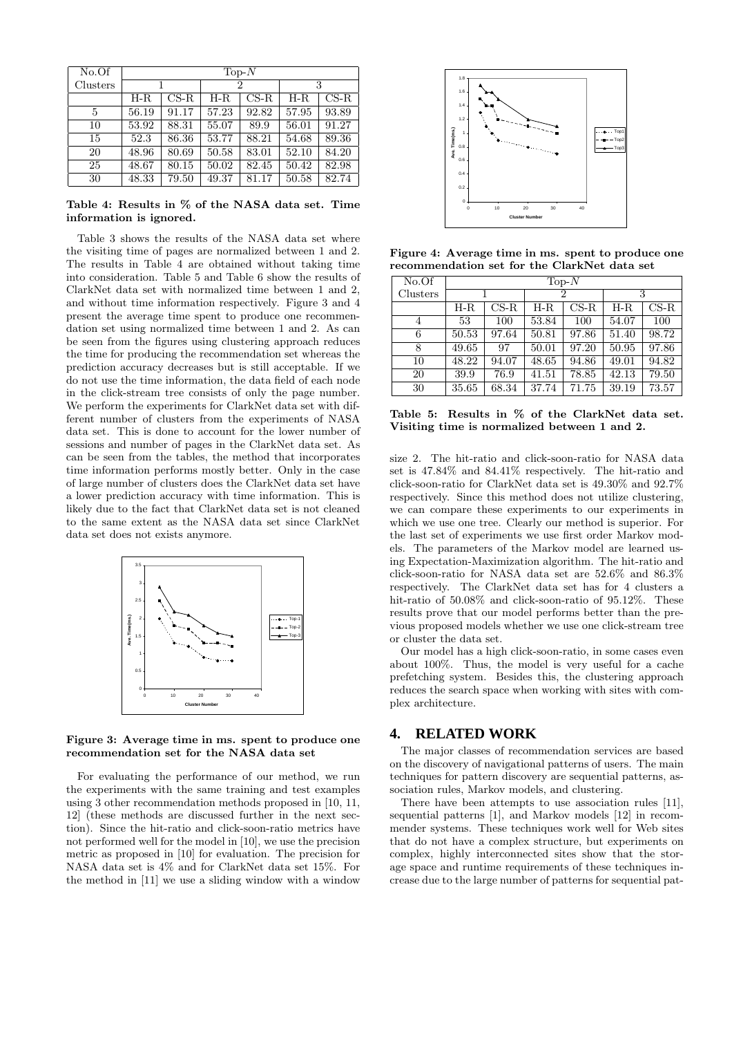| No.Of    | $Top-N$ |        |       |                          |       |        |  |  |
|----------|---------|--------|-------|--------------------------|-------|--------|--|--|
| Clusters |         |        | 2     |                          |       |        |  |  |
|          | $H-R$   | $CS-R$ | $H-R$ | $\overline{\text{CS-R}}$ | $H-R$ | $CS-R$ |  |  |
| 5        | 56.19   | 91.17  | 57.23 | 92.82                    | 57.95 | 93.89  |  |  |
| 10       | 53.92   | 88.31  | 55.07 | 89.9                     | 56.01 | 91.27  |  |  |
| 15       | 52.3    | 86.36  | 53.77 | 88.21                    | 54.68 | 89.36  |  |  |
| 20       | 48.96   | 80.69  | 50.58 | 83.01                    | 52.10 | 84.20  |  |  |
| 25       | 48.67   | 80.15  | 50.02 | 82.45                    | 50.42 | 82.98  |  |  |
| 30       | 48.33   | 79.50  | 49.37 | 81.17                    | 50.58 | 82.74  |  |  |

Table 4: Results in % of the NASA data set. Time information is ignored.

Table 3 shows the results of the NASA data set where the visiting time of pages are normalized between 1 and 2. The results in Table 4 are obtained without taking time into consideration. Table 5 and Table 6 show the results of ClarkNet data set with normalized time between 1 and 2, and without time information respectively. Figure 3 and 4 present the average time spent to produce one recommendation set using normalized time between 1 and 2. As can be seen from the figures using clustering approach reduces the time for producing the recommendation set whereas the prediction accuracy decreases but is still acceptable. If we do not use the time information, the data field of each node in the click-stream tree consists of only the page number. We perform the experiments for ClarkNet data set with different number of clusters from the experiments of NASA data set. This is done to account for the lower number of sessions and number of pages in the ClarkNet data set. As can be seen from the tables, the method that incorporates time information performs mostly better. Only in the case of large number of clusters does the ClarkNet data set have a lower prediction accuracy with time information. This is likely due to the fact that ClarkNet data set is not cleaned to the same extent as the NASA data set since ClarkNet data set does not exists anymore.



Figure 3: Average time in ms. spent to produce one recommendation set for the NASA data set

For evaluating the performance of our method, we run the experiments with the same training and test examples using 3 other recommendation methods proposed in [10, 11, 12] (these methods are discussed further in the next section). Since the hit-ratio and click-soon-ratio metrics have not performed well for the model in [10], we use the precision metric as proposed in [10] for evaluation. The precision for NASA data set is 4% and for ClarkNet data set 15%. For the method in [11] we use a sliding window with a window



Figure 4: Average time in ms. spent to produce one recommendation set for the ClarkNet data set

| No.Of    | $Top-N$ |        |       |        |       |        |  |
|----------|---------|--------|-------|--------|-------|--------|--|
| Clusters |         |        | 2     |        | 3     |        |  |
|          | $H-R$   | $CS-R$ | $H-R$ | $CS-R$ | $H-R$ | $CS-R$ |  |
| 4        | 53      | 100    | 53.84 | 100    | 54.07 | 100    |  |
| 6        | 50.53   | 97.64  | 50.81 | 97.86  | 51.40 | 98.72  |  |
| 8        | 49.65   | 97     | 50.01 | 97.20  | 50.95 | 97.86  |  |
| 10       | 48.22   | 94.07  | 48.65 | 94.86  | 49.01 | 94.82  |  |
| 20       | 39.9    | 76.9   | 41.51 | 78.85  | 42.13 | 79.50  |  |
| 30       | 35.65   | 68.34  | 37.74 | 71.75  | 39.19 | 73.57  |  |

Table 5: Results in % of the ClarkNet data set. Visiting time is normalized between 1 and 2.

size 2. The hit-ratio and click-soon-ratio for NASA data set is 47.84% and 84.41% respectively. The hit-ratio and click-soon-ratio for ClarkNet data set is 49.30% and 92.7% respectively. Since this method does not utilize clustering, we can compare these experiments to our experiments in which we use one tree. Clearly our method is superior. For the last set of experiments we use first order Markov models. The parameters of the Markov model are learned using Expectation-Maximization algorithm. The hit-ratio and click-soon-ratio for NASA data set are 52.6% and 86.3% respectively. The ClarkNet data set has for 4 clusters a hit-ratio of 50.08% and click-soon-ratio of 95.12%. These results prove that our model performs better than the previous proposed models whether we use one click-stream tree or cluster the data set.

Our model has a high click-soon-ratio, in some cases even about 100%. Thus, the model is very useful for a cache prefetching system. Besides this, the clustering approach reduces the search space when working with sites with complex architecture.

## **4. RELATED WORK**

The major classes of recommendation services are based on the discovery of navigational patterns of users. The main techniques for pattern discovery are sequential patterns, association rules, Markov models, and clustering.

There have been attempts to use association rules [11], sequential patterns [1], and Markov models [12] in recommender systems. These techniques work well for Web sites that do not have a complex structure, but experiments on complex, highly interconnected sites show that the storage space and runtime requirements of these techniques increase due to the large number of patterns for sequential pat-